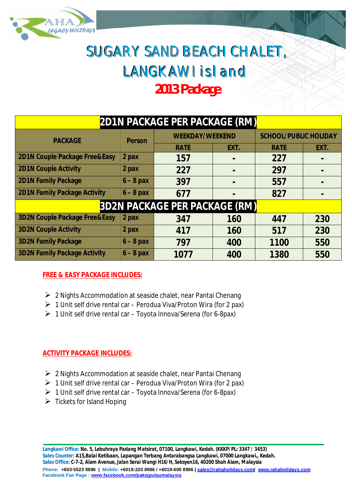

# SUGARY SAND BEACH CHALET, LANGKAWI isl and *2013 Package*

| <b>2D1N PACKAGE PER PACKAGE (RM)</b>     |               |                        |      |                              |                |
|------------------------------------------|---------------|------------------------|------|------------------------------|----------------|
| <b>PACKAGE</b>                           | <b>Person</b> | <b>WEEKDAY/WEEKEND</b> |      | <b>SCHOOL/PUBLIC HOLIDAY</b> |                |
|                                          |               | <b>RATE</b>            | EXT. | <b>RATE</b>                  | EXT.           |
| 2D1N Couple Package Free&Easy            | 2 pax         | 157                    |      | 227                          | $\blacksquare$ |
| <b>2D1N Couple Activity</b>              | 2 pax         | 227                    |      | 297                          | $\blacksquare$ |
| <b>2D1N Family Package</b>               | $6 - 8$ pax   | 397                    |      | 557                          | $\blacksquare$ |
| <b>2D1N Family Package Activity</b>      | $6 - 8$ pax   | 677                    |      | 827                          | $\blacksquare$ |
| <b>3D2N PACKAGE PER PACKAGE (RM)</b>     |               |                        |      |                              |                |
| <b>3D2N Couple Package Free&amp;Easy</b> | 2 pax         | 347                    | 160  | 447                          | 230            |
| <b>3D2N Couple Activity</b>              | 2 pax         | 417                    | 160  | 517                          | 230            |
| <b>3D2N Family Package</b>               | $6 - 8$ pax   | 797                    | 400  | 1100                         | 550            |
| <b>3D2N Family Package Activity</b>      | $6 - 8$ pax   | 1077                   | 400  | 1380                         | 550            |

### **FREE & EASY PACKAGE INCLUDES:**

- $\geq 2$  Nights Accommodation at seaside chalet, near Pantai Chenang
- $\geq 1$  Unit self drive rental car Perodua Viva/Proton Wira (for 2 pax)
- $\geq 1$  Unit self drive rental car Toyota Innova/Serena (for 6-8pax)

### **ACTIVITY PACKAGE INCLUDES:**

- $\geq 2$  Nights Accommodation at seaside chalet, near Pantai Chenang
- $\geq 1$  Unit self drive rental car Perodua Viva/Proton Wira (for 2 pax)
- $\triangleright$  1 Unit self drive rental car Toyota Innova/Serena (for 6-8pax)
- $\triangleright$  Tickets for Island Hoping